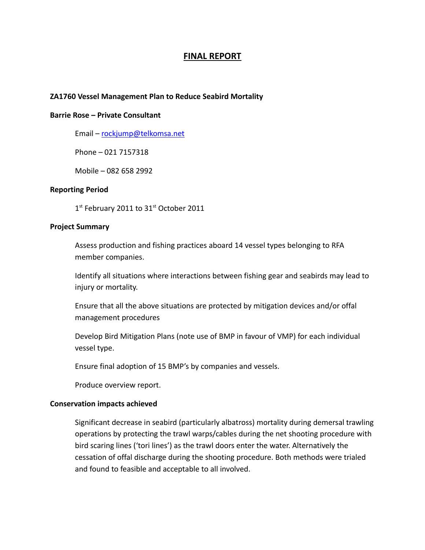# **FINAL REPORT**

### **ZA1760 Vessel Management Plan to Reduce Seabird Mortality**

#### **Barrie Rose – Private Consultant**

Email – [rockjump@telkomsa.net](mailto:rockjump@telkomsa.net)

Phone – 021 7157318

Mobile – 082 658 2992

### **Reporting Period**

1<sup>st</sup> February 2011 to 31<sup>st</sup> October 2011

#### **Project Summary**

Assess production and fishing practices aboard 14 vessel types belonging to RFA member companies.

Identify all situations where interactions between fishing gear and seabirds may lead to injury or mortality.

Ensure that all the above situations are protected by mitigation devices and/or offal management procedures

Develop Bird Mitigation Plans (note use of BMP in favour of VMP) for each individual vessel type.

Ensure final adoption of 15 BMP's by companies and vessels.

Produce overview report.

#### **Conservation impacts achieved**

Significant decrease in seabird (particularly albatross) mortality during demersal trawling operations by protecting the trawl warps/cables during the net shooting procedure with bird scaring lines ('tori lines') as the trawl doors enter the water. Alternatively the cessation of offal discharge during the shooting procedure. Both methods were trialed and found to feasible and acceptable to all involved.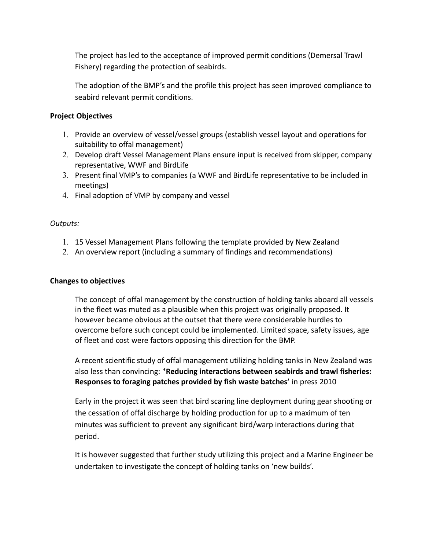The project has led to the acceptance of improved permit conditions (Demersal Trawl Fishery) regarding the protection of seabirds.

The adoption of the BMP's and the profile this project has seen improved compliance to seabird relevant permit conditions.

## **Project Objectives**

- 1. Provide an overview of vessel/vessel groups (establish vessel layout and operations for suitability to offal management)
- 2. Develop draft Vessel Management Plans ensure input is received from skipper, company representative, WWF and BirdLife
- 3. Present final VMP's to companies (a WWF and BirdLife representative to be included in meetings)
- 4. Final adoption of VMP by company and vessel

## *Outputs:*

- 1. 15 Vessel Management Plans following the template provided by New Zealand
- 2. An overview report (including a summary of findings and recommendations)

# **Changes to objectives**

The concept of offal management by the construction of holding tanks aboard all vessels in the fleet was muted as a plausible when this project was originally proposed. It however became obvious at the outset that there were considerable hurdles to overcome before such concept could be implemented. Limited space, safety issues, age of fleet and cost were factors opposing this direction for the BMP.

A recent scientific study of offal management utilizing holding tanks in New Zealand was also less than convincing: **'Reducing interactions between seabirds and trawl fisheries: Responses to foraging patches provided by fish waste batches'** in press 2010

Early in the project it was seen that bird scaring line deployment during gear shooting or the cessation of offal discharge by holding production for up to a maximum of ten minutes was sufficient to prevent any significant bird/warp interactions during that period.

It is however suggested that further study utilizing this project and a Marine Engineer be undertaken to investigate the concept of holding tanks on 'new builds'.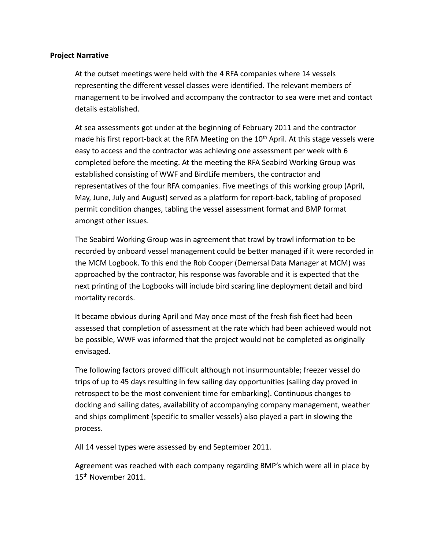## **Project Narrative**

At the outset meetings were held with the 4 RFA companies where 14 vessels representing the different vessel classes were identified. The relevant members of management to be involved and accompany the contractor to sea were met and contact details established.

At sea assessments got under at the beginning of February 2011 and the contractor made his first report-back at the RFA Meeting on the  $10<sup>th</sup>$  April. At this stage vessels were easy to access and the contractor was achieving one assessment per week with 6 completed before the meeting. At the meeting the RFA Seabird Working Group was established consisting of WWF and BirdLife members, the contractor and representatives of the four RFA companies. Five meetings of this working group (April, May, June, July and August) served as a platform for report-back, tabling of proposed permit condition changes, tabling the vessel assessment format and BMP format amongst other issues.

The Seabird Working Group was in agreement that trawl by trawl information to be recorded by onboard vessel management could be better managed if it were recorded in the MCM Logbook. To this end the Rob Cooper (Demersal Data Manager at MCM) was approached by the contractor, his response was favorable and it is expected that the next printing of the Logbooks will include bird scaring line deployment detail and bird mortality records.

It became obvious during April and May once most of the fresh fish fleet had been assessed that completion of assessment at the rate which had been achieved would not be possible, WWF was informed that the project would not be completed as originally envisaged.

The following factors proved difficult although not insurmountable; freezer vessel do trips of up to 45 days resulting in few sailing day opportunities (sailing day proved in retrospect to be the most convenient time for embarking). Continuous changes to docking and sailing dates, availability of accompanying company management, weather and ships compliment (specific to smaller vessels) also played a part in slowing the process.

All 14 vessel types were assessed by end September 2011.

Agreement was reached with each company regarding BMP's which were all in place by 15th November 2011.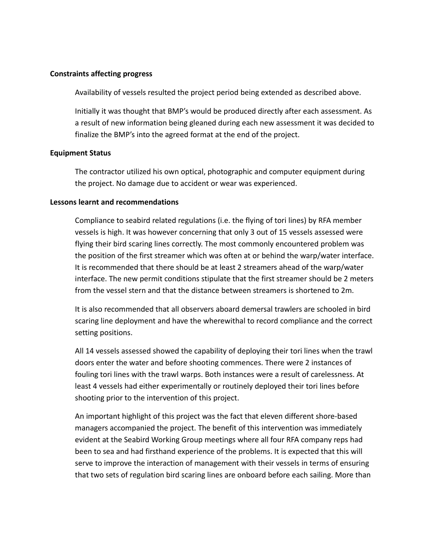### **Constraints affecting progress**

Availability of vessels resulted the project period being extended as described above.

Initially it was thought that BMP's would be produced directly after each assessment. As a result of new information being gleaned during each new assessment it was decided to finalize the BMP's into the agreed format at the end of the project.

## **Equipment Status**

The contractor utilized his own optical, photographic and computer equipment during the project. No damage due to accident or wear was experienced.

## **Lessons learnt and recommendations**

Compliance to seabird related regulations (i.e. the flying of tori lines) by RFA member vessels is high. It was however concerning that only 3 out of 15 vessels assessed were flying their bird scaring lines correctly. The most commonly encountered problem was the position of the first streamer which was often at or behind the warp/water interface. It is recommended that there should be at least 2 streamers ahead of the warp/water interface. The new permit conditions stipulate that the first streamer should be 2 meters from the vessel stern and that the distance between streamers is shortened to 2m.

It is also recommended that all observers aboard demersal trawlers are schooled in bird scaring line deployment and have the wherewithal to record compliance and the correct setting positions.

All 14 vessels assessed showed the capability of deploying their tori lines when the trawl doors enter the water and before shooting commences. There were 2 instances of fouling tori lines with the trawl warps. Both instances were a result of carelessness. At least 4 vessels had either experimentally or routinely deployed their tori lines before shooting prior to the intervention of this project.

An important highlight of this project was the fact that eleven different shore-based managers accompanied the project. The benefit of this intervention was immediately evident at the Seabird Working Group meetings where all four RFA company reps had been to sea and had firsthand experience of the problems. It is expected that this will serve to improve the interaction of management with their vessels in terms of ensuring that two sets of regulation bird scaring lines are onboard before each sailing. More than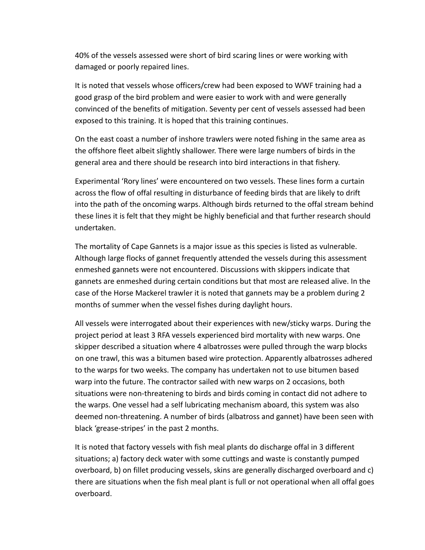40% of the vessels assessed were short of bird scaring lines or were working with damaged or poorly repaired lines.

It is noted that vessels whose officers/crew had been exposed to WWF training had a good grasp of the bird problem and were easier to work with and were generally convinced of the benefits of mitigation. Seventy per cent of vessels assessed had been exposed to this training. It is hoped that this training continues.

On the east coast a number of inshore trawlers were noted fishing in the same area as the offshore fleet albeit slightly shallower. There were large numbers of birds in the general area and there should be research into bird interactions in that fishery.

Experimental 'Rory lines' were encountered on two vessels. These lines form a curtain across the flow of offal resulting in disturbance of feeding birds that are likely to drift into the path of the oncoming warps. Although birds returned to the offal stream behind these lines it is felt that they might be highly beneficial and that further research should undertaken.

The mortality of Cape Gannets is a major issue as this species is listed as vulnerable. Although large flocks of gannet frequently attended the vessels during this assessment enmeshed gannets were not encountered. Discussions with skippers indicate that gannets are enmeshed during certain conditions but that most are released alive. In the case of the Horse Mackerel trawler it is noted that gannets may be a problem during 2 months of summer when the vessel fishes during daylight hours.

All vessels were interrogated about their experiences with new/sticky warps. During the project period at least 3 RFA vessels experienced bird mortality with new warps. One skipper described a situation where 4 albatrosses were pulled through the warp blocks on one trawl, this was a bitumen based wire protection. Apparently albatrosses adhered to the warps for two weeks. The company has undertaken not to use bitumen based warp into the future. The contractor sailed with new warps on 2 occasions, both situations were non-threatening to birds and birds coming in contact did not adhere to the warps. One vessel had a self lubricating mechanism aboard, this system was also deemed non-threatening. A number of birds (albatross and gannet) have been seen with black 'grease-stripes' in the past 2 months.

It is noted that factory vessels with fish meal plants do discharge offal in 3 different situations; a) factory deck water with some cuttings and waste is constantly pumped overboard, b) on fillet producing vessels, skins are generally discharged overboard and c) there are situations when the fish meal plant is full or not operational when all offal goes overboard.